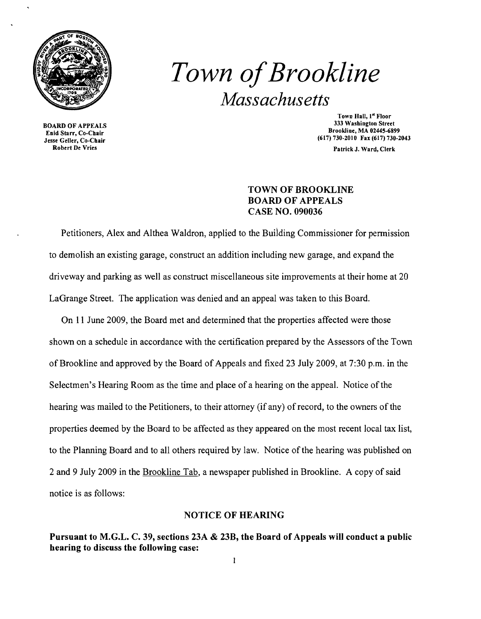

Enid Starr, Co-Chair<br>Jesse Geller, Co-Chair Juli Staff, Co-Chair<br>See Geller, Co-Chair<br>Robert De Vries

*Town ofBrookline Massachusetts* 

Town Hall, 1<sup>st</sup> Floor<br>333 Washington Street 333 Washington Street 333 Washington Street 333 Washington Street<br>Real Street Bookline, MA 02445-6899

Patrick J. Ward, Clerk

## TOWN OF BROOKLINE BOARD OF APPEALS CASE NO. 090036

Petitioners, Alex and Althea Waldron, applied to the Building Commissioner for permission to demolish an existing garage, construct an addition including new garage, and expand the driveway and parking as well as construct miscellaneous site improvements at their home at 20 LaGrange Street. The application was denied and an appeal was taken to this Board.

On 11 June 2009, the Board met and determined that the properties affected were those shown on a schedule in accordance with the certification prepared by the Assessors of the Town of Brookline and approved by the Board of Appeals and fixed 23 July 2009, at 7:30 p.m. in the Selectmen's Hearing Room as the time and place of a hearing on the appeal. Notice of the hearing was mailed to the Petitioners, to their attorney (if any) of record, to the owners of the properties deemed by the Board to be affected as they appeared on the most recent local tax list, to the Planning Board and to all others required by law. Notice of the hearing was published on 2 and 9 July 2009 in the Brookline Tab, a newspaper published in Brookline. A copy of said notice is as follows:

## NOTICE OF HEARING

Pursuant to M.G.L. C. 39, sections 23A & 23B, the Board of Appeals will conduct a public hearing to discuss the following case: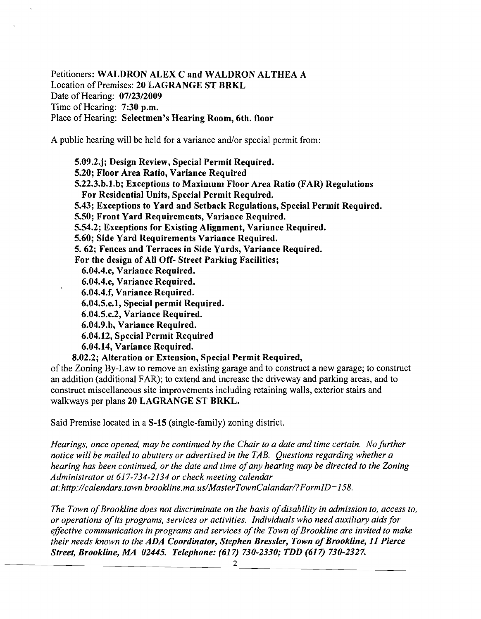Petitioners: WALDRON ALEX C and WALDRON ALTHEA A Location of Premises: 20 LAGRANGE ST BRKL Date of Hearing: 07/23/2009 Time of Hearing: 7:30 p.m. Place of Hearing: Selectmen's Hearing Room, 6th. floor

A public hearing will be held for a variance and/or special permit from:

5.09.2.j; Design Review, Special Permit Required. 5.20; Floor Area Ratio, Variance Required 5.22.3.b.l.b; Exceptions to Maximum Floor Area Ratio (FAR) Regulations For Residential Units, Special Permit Required. 5.43; Exceptions to Yard and Setback Regulations, Special Permit Required. 5.50; Front Yard Requirements, Variance Required. 5.54.2; Exceptions for Existing Alignment, Variance Required. 5.60; Side Yard Requirements Variance Required. 5.62; Fences and Terraces in Side Yards, Variance Required. For the design of All Off- Street Parking Facilities; 6.04.4.c, Variance Required. 6.04.4.e, Variance Required. 6.04.4.f, Variance Required. 6.04.5.c.l, Special permit Required. 6.04.5.c.2, Variance Required. 6.04.9.b, Variance Required. 6.04.12, Special Permit Required 6.04.14, Variance Required.

8.02.2; Alteration or Extension, Special Permit Required,

of the Zoning By-Law to remove an existing garage and to construct a new garage; to construct an addition (additional FAR); to extend and increase the driveway and parking areas, and to construct miscellaneous site improvements including retaining walls, exterior stairs and walkways per plans 20 LAGRANGE ST BRKL.

Said Premise located in a S-15 (single-family) zoning district.

*Hearings, once opened, may be continued by the Chair to a date and time certain. No further notice will be mailed to abutters or advertised in the TAB. Questions regarding whether a hearing has been continued, or the date and time ofany hearing may be directed to the Zoning Administrator at* 617-734-2134 *or check meeting calendar at:http://calendars.town.brookline.ma.usIMasterTownCalandarl?FormID= 158.* 

*The Town of Brookline does not discriminate on the basis of disability in admission to, access to, or operations ofits programs, services or activities. Individuals who need auxiliary aidsfor*  effective communication in programs and services of the Town of Brookline are invited to make *their needs known to the ADA Coordinator, Stephen Bressler, Town of Brookline, 11 Pierce Street, Brookline, MA 02445. Telephone:* (617) *730-2330; TDD* (617) *730-2327.*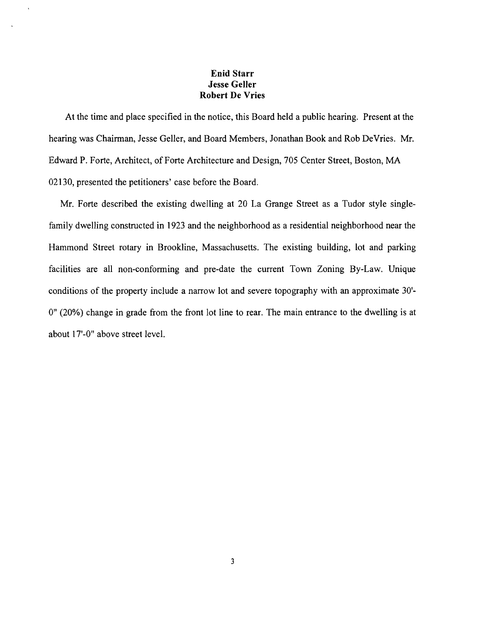## **Enid Starr Jesse Geller Robert De Vries**

At the time and place specified in the notice, this Board held a public hearing. Present at the hearing was Chairman, Jesse Geller, and Board Members, Jonathan Book and Rob DeVries. Mr. Edward P. Forte, Architect, of Forte Architecture and Design, 705 Center Street, Boston, MA 02130, presented the petitioners' case before the Board.

Mr. Forte described the existing dwelling at 20 La Grange Street as a Tudor style singlefamily dwelling constructed in 1923 and the neighborhood as a residential neighborhood near the Hammond Street rotary in Brookline, Massachusetts. The existing building, lot and parking facilities are all non-conforming and pre-date the current Town Zoning By-Law. Unique conditions of the property include a narrow lot and severe topography with an approximate 30' 0" (20%) change in grade from the front lot line to rear. The main entrance to the dwelling is at about 17'-0" above street level.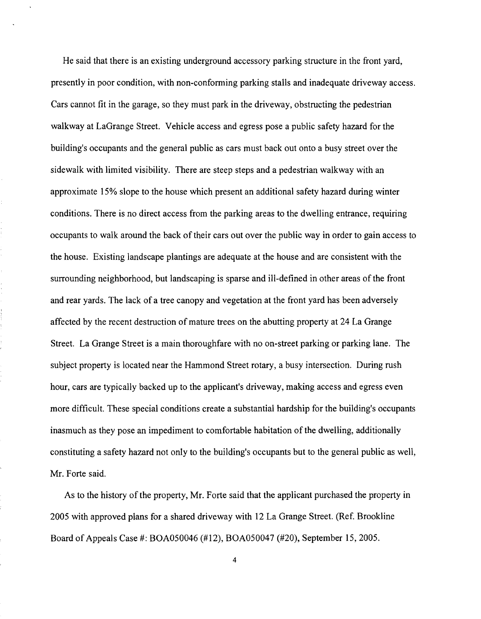He said that there is an existing underground accessory parking structure in the front yard, presently in poor condition, with non-conforming parking stalls and inadequate driveway access. Cars cannot fit in the garage, so they must park in the driveway, obstructing the pedestrian walkway at LaGrange Street. Vehicle access and egress pose a public safety hazard for the building's occupants and the general public as cars must back out onto a busy street over the sidewalk with limited visibility. There are steep steps and a pedestrian walkway with an approximate 15% slope to the house which present an additional safety hazard during winter conditions. There is no direct access from the parking areas to the dwelling entrance, requiring occupants to walk around the back of their cars out over the public way in order to gain access to the house. Existing landscape plantings are adequate at the house and are consistent with the surrounding neighborhood, but landscaping is sparse and ill-defined in other areas ofthe front and rear yards. The lack of a tree canopy and vegetation at the front yard has been adversely affected by the recent destruction of mature trees on the abutting property at 24 La Grange Street. La Grange Street is a main thoroughfare with no on-street parking or parking lane. The subject property is located near the Hammond Street rotary, a busy intersection. During rush hour, cars are typically backed up to the applicant's driveway, making access and egress even more difficult. These special conditions create a substantial hardship for the building's occupants inasmuch as they pose an impediment to comfortable habitation of the dwelling, additionally constituting a safety hazard not only to the building's occupants but to the general public as well, Mr. Forte said.

As to the history of the property, Mr. Forte said that the applicant purchased the property in 2005 with approved plans for a shared driveway with 12 La Grange Street. (Ref. Brookline Board of Appeals Case #: BOA050046 (#12), BOA050047 (#20), September 15,2005.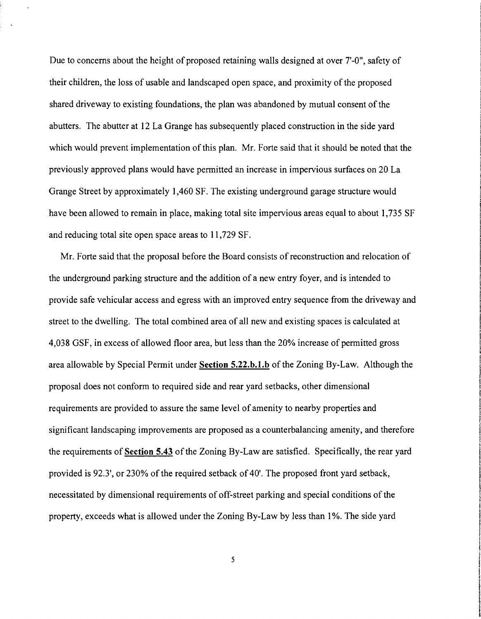Due to concerns about the height of proposed retaining walls designed at over 7'-0", safety of their children, the loss of usable and landscaped open space, and proximity of the proposed shared driveway to existing foundations, the plan was abandoned by mutual consent of the abutters. The abutter at 12 La Grange has subsequently placed construction in the side yard which would prevent implementation of this plan. Mr. Forte said that it should be noted that the previously approved plans would have permitted an increase in impervious surfaces on 20 La Grange Street by approximately 1,460 SF. The existing underground garage structure would have been allowed to remain in place, making total site impervious areas equal to about 1,735 SF and reducing total site open space areas to **11,729** SF.

Mr. Forte said that the proposal before the Board consists of reconstruction and relocation of the underground parking structure and the addition of a new entry foyer, and is intended to provide safe vehicular access and egress with an improved entry sequence from the driveway and street to the dwelling. The total combined area of all new and existing spaces is calculated at 4,038 GSF, in excess of allowed floor area, but less than the 20% increase of permitted gross area allowable by Special Permit under **Section 5.22.b.l.b** of the Zoning By-Law. Although the proposal does not conform to required side and rear yard setbacks, other dimensional requirements are provided to assure the same level of amenity to nearby properties and significant landscaping improvements are proposed as a counterbalancing amenity, and therefore the requirements of **Section 5.43** ofthe Zoning By-Law are satisfied. Specifically, the rear yard provided is 92.3', or 230% of the required setback of 40'. The proposed front yard setback, necessitated by dimensional requirements of off-street parking and special conditions of the property, exceeds what is allowed under the Zoning By-Law by less than 1%. The side yard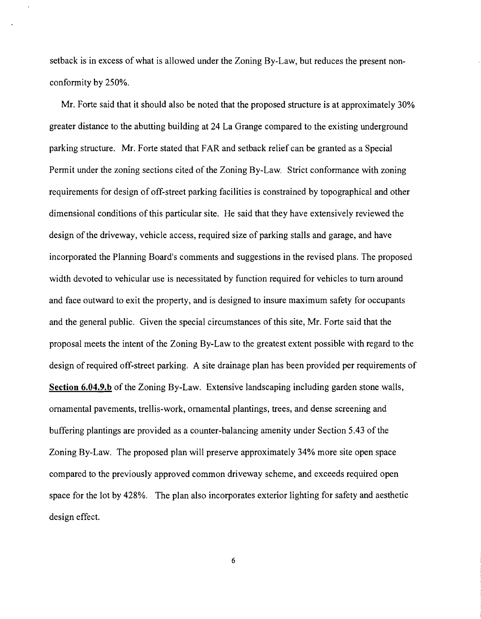setback is in excess of what is allowed under the Zoning By-Law, but reduces the present nonconformity by 250%.

Mr. Forte said that it should also be noted that the proposed structure is at approximately 30% greater distance to the abutting building at 24 La Grange compared to the existing underground parking structure. Mr. Forte stated that FAR and setback relief can be granted as a Special Permit under the zoning sections cited of the Zoning By-Law. Strict conformance with zoning requirements for design of off-street parking facilities is constrained by topographical and other dimensional conditions of this particular site. He said that they have extensively reviewed the design of the driveway, vehicle access, required size of parking stalls and garage, and have incorporated the Planning Board's comments and suggestions in the revised plans. The proposed width devoted to vehicular use is necessitated by function required for vehicles to tum around and face outward to exit the property, and is designed to insure maximum safety for occupants and the general public. Given the special circumstances of this site, Mr. Forte said that the proposal meets the intent of the Zoning By-Law to the greatest extent possible with regard to the design of required off-street parking. A site drainage plan has been provided per requirements of **Section 6.04.9.b** of the Zoning By-Law. Extensive landscaping including garden stone walls, ornamental pavements, trellis-work, ornamental plantings, trees, and dense screening and buffering plantings are provided as a counter-balancing amenity under Section 5.43 of the Zoning By-Law. The proposed plan will preserve approximately 34% more site open space compared to the previously approved common driveway scheme, and exceeds required open space for the lot by 428%. The plan also incorporates exterior lighting for safety and aesthetic design effect.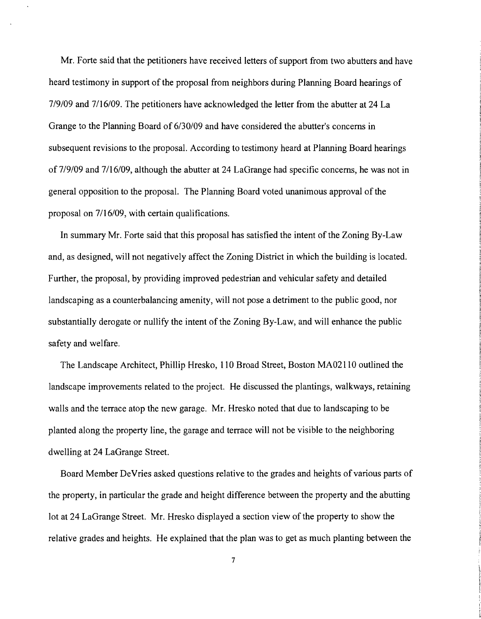Mr. Forte said that the petitioners have received letters of support from two abutters and have heard testimony in support of the proposal from neighbors during Planning Board hearings of 7/9/09 and 7116/09. The petitioners have acknowledged the letter from the abutter at 24 La Grange to the Planning Board of 6/30/09 and have considered the abutter's concerns in subsequent revisions to the proposal. According to testimony heard at Planning Board hearings of 7/9/09 and 7/16/09, although the abutter at 24 LaGrange had specific concerns, he was not in general opposition to the proposal. The Planning Board voted unanimous approval of the proposal on 7/16/09, with certain qualifications.

In summary Mr. Forte said that this proposal has satisfied the intent of the Zoning By-Law and, as designed, will not negatively affect the Zoning District in which the building is located. Further, the proposal, by providing improved pedestrian and vehicular safety and detailed landscaping as a counterbalancing amenity, will not pose a detriment to the public good, nor substantially derogate or nullify the intent of the Zoning By-Law, and will enhance the public safety and welfare.

The Landscape Architect, Phillip Hresko, 110 Broad Street, Boston MA0211 0 outlined the landscape improvements related to the project. He discussed the plantings, walkways, retaining walls and the terrace atop the new garage. Mr. Hresko noted that due to landscaping to be planted along the property line, the garage and terrace will not be visible to the neighboring dwelling at 24 LaGrange Street.

Board Member DeVries asked questions relative to the grades and heights of various parts of the property, in particular the grade and height difference between the property and the abutting lot at 24 LaGrange Street. Mr. Hresko displayed a section view of the property to show the relative grades and heights. He explained that the plan was to get as much planting between the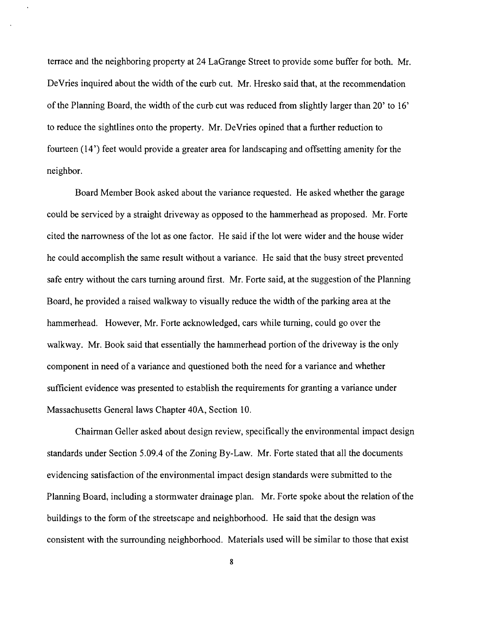terrace and the neighboring property at 24 LaGrange Street to provide some buffer for both. Mr. DeVries inquired about the width of the curb cut. Mr. Hresko said that, at the recommendation of the Planning Board, the width of the curb cut was reduced from slightly larger than 20' to 16' to reduce the sightlines onto the property. Mr. DeVries opined that a further reduction to fourteen (14 ') feet would provide a greater area for landscaping and offsetting amenity for the neighbor.

Board Member Book asked about the variance requested. He asked whether the garage could be serviced by a straight driveway as opposed to the hammerhead as proposed. Mr. Forte cited the narrowness of the lot as one factor. He said if the lot were wider and the house wider he could accomplish the same result without a variance. He said that the busy street prevented safe entry without the cars turning around first. Mr. Forte said, at the suggestion of the Planning Board, he provided a raised walkway to visually reduce the width of the parking area at the hammerhead. However, Mr. Forte acknowledged, cars while turning, could go over the walkway. Mr. Book said that essentially the hammerhead portion of the driveway is the only component in need of a variance and questioned both the need for a variance and whether sufficient evidence was presented to establish the requirements for granting a variance under Massachusetts General laws Chapter 40A, Section 10.

Chairman Geller asked about design review, specifically the environmental impact design standards under Section 5.09.4 of the Zoning By-Law. Mr. Forte stated that all the documents evidencing satisfaction of the environmental impact design standards were submitted to the Planning Board, including a stormwater drainage plan. Mr. Forte spoke about the relation of the buildings to the form of the streetscape and neighborhood. He said that the design was consistent with the surrounding neighborhood. Materials used will be similar to those that exist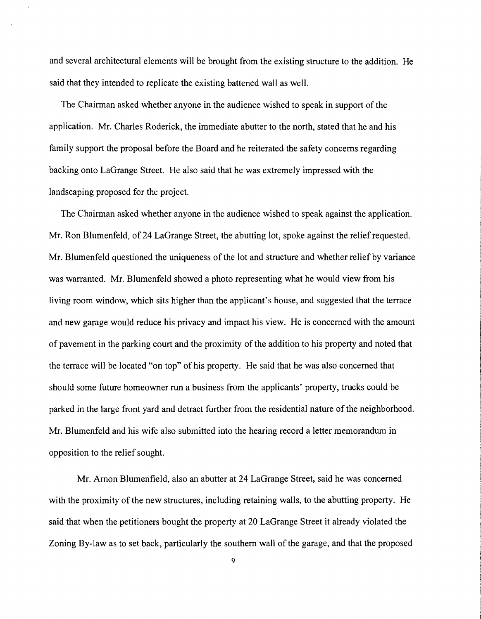and several architectural elements will be brought from the existing structure to the addition. He said that they intended to replicate the existing battened wall as well.

The Chairman asked whether anyone in the audience wished to speak in support of the application. Mr. Charles Roderick, the immediate abutter to the north, stated that he and his family support the proposal before the Board and he reiterated the safety concerns regarding backing onto LaGrange Street. He also said that he was extremely impressed with the landscaping proposed for the project.

The Chairman asked whether anyone in the audience wished to speak against the application. Mr. Ron Blumenfeld, of 24 LaGrange Street, the abutting lot, spoke against the relief requested. Mr. Blumenfeld questioned the uniqueness of the lot and structure and whether relief by variance was warranted. Mr. Blumenfeld showed a photo representing what he would view from his living room window, which sits higher than the applicant's house, and suggested that the terrace and new garage would reduce his privacy and impact his view. He is concerned with the amount of pavement in the parking court and the proximity of the addition to his property and noted that the terrace will be located "on top" of his property. He said that he was also concerned that should some future homeowner run a business from the applicants' property, trucks could be parked in the large front yard and detract further from the residential nature of the neighborhood. Mr. Blumenfeld and his wife also submitted into the hearing record a letter memorandum in opposition to the relief sought.

Mr. Amon Blumenfield, also an abutter at 24 LaGrange Street, said he was concerned with the proximity of the new structures, including retaining walls, to the abutting property. He said that when the petitioners bought the property at 20 LaGrange Street it already violated the Zoning By-law as to set back, particularly the southern wall of the garage, and that the proposed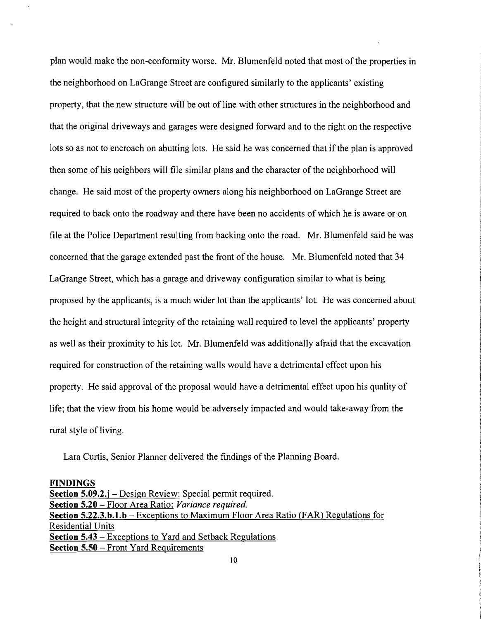plan would make the non-conformity worse. Mr. Blumenfeld noted that most of the properties in the neighborhood on LaGrange Street are configured similarly to the applicants' existing property, that the new structure will be out of line with other structures in the neighborhood and that the original driveways and garages were designed forward and to the right on the respective lots so as not to encroach on abutting lots. He said he was concerned that if the plan is approved then some of his neighbors will file similar plans and the character of the neighborhood will change. He said most of the property owners along his neighborhood on LaGrange Street are required to back onto the roadway and there have been no accidents of which he is aware or on file at the Police Department resulting from backing onto the road. Mr. Blumenfeld said he was concerned that the garage extended past the front of the house. Mr. Blumenfeld noted that 34 LaGrange Street, which has a garage and driveway configuration similar to what is being proposed by the applicants, is a much wider lot than the applicants' lot. He was concerned about the height and structural integrity of the retaining wall required to level the applicants' property as well as their proximity to his lot. Mr. Blumenfeld was additionally afraid that the excavation required for construction of the retaining walls would have a detrimental effect upon his property. He said approval of the proposal would have a detrimental effect upon his quality of life; that the view from his home would be adversely impacted and would take-away from the rural style of living.

Lara Curtis, Senior Planner delivered the findings of the Planning Board.

**FINDINGS** 

**Section 5.09.2.j** – Design Review: Special permit required. **Section 5.20** - Floor Area Ratio: *Variance required.*  **Section 5.22.3.b.l.b** - Exceptions to Maximum Floor Area Ratio (FAR) Regulations for Residential Units **Section 5.43** - Exceptions to Yard and Setback Regulations **Section 5.50** – Front Yard Requirements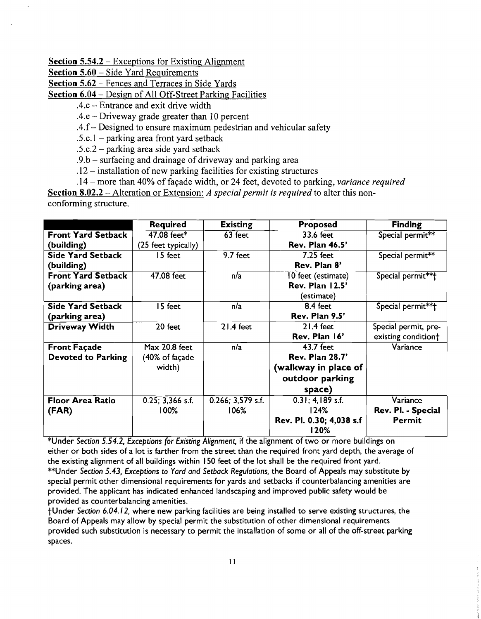Section 5.54.2 - Exceptions for Existing Alignment

Section 5.60 – Side Yard Requirements

Section 5.62 - Fences and Terraces in Side Yards

Section 6.04 - Design of All Off-Street Parking Facilities

.4.c - Entrance and exit drive width

.4.e - Driveway grade greater than 10 percent

 $.4.f$  – Designed to ensure maximum pedestrian and vehicular safety

 $.5.c.1$  – parking area front yard setback

 $.5.c.2$  – parking area side yard setback

.9.b - surfacing and drainage of driveway and parking area

.12 - installation of new parking facilities for existing structures

.14 - more than 40% of façade width, or 24 feet, devoted to parking, *variance required* 

Section 8.02.2 - Alteration or Extension: *A special permit is required* to alter this nonconforming structure.

| <b>Required</b>     | <b>Existing</b>     | Proposed                 | <b>Finding</b>                  |
|---------------------|---------------------|--------------------------|---------------------------------|
| 47.08 feet*         | 63 feet             | 33.6 feet                | Special permit**                |
| (25 feet typically) |                     | Rev. Plan 46.5'          |                                 |
| 15 feet             | 9.7 feet            | 7.25 feet                | Special permit**                |
|                     |                     | Rev. Plan 8'             |                                 |
| 47.08 feet          | n/a                 | 10 feet (estimate)       | Special permit**†               |
|                     |                     | <b>Rev. Plan 12.5'</b>   |                                 |
|                     |                     | (estimate)               |                                 |
| 15 feet             | n/a                 | $8.4$ feet               | Special permit**†               |
|                     |                     | Rev. Plan 9.5'           |                                 |
| 20 feet             | $21.4$ feet         | $21.4$ feet              | Special permit, pre-            |
|                     |                     | Rev. Plan 16'            | existing condition <sup>+</sup> |
| Max 20.8 feet       | n/a                 | 43.7 feet                | Variance                        |
| (40% of façade      |                     | <b>Rev. Plan 28.7'</b>   |                                 |
| width)              |                     | (walkway in place of     |                                 |
|                     |                     | outdoor parking          |                                 |
|                     |                     | space)                   |                                 |
| $0.25; 3.366$ s.f.  | $0.266; 3.579$ s.f. | $0.31; 4.189$ s.f.       | Variance                        |
| 100%                | 106%                | l 24%                    | Rev. Pl. - Special              |
|                     |                     | Rev. Pl. 0.30; 4,038 s.f | Permit                          |
|                     |                     | 120%                     |                                 |
|                     |                     |                          |                                 |

\*Under *Section* 5.54.2, *Exceptions (or Ex,sting Alignment,* If the alignment of two or more bulldmgs on either or both sides of a lot is farther from the street than the required front yard depth, the average of the existing alignment of all buildings within 150 feet of the lot shall be the required front yard. \*\*Under *Section* 5.43, *Exceptions* to *Yard and Setback Regulations.* the Board of Appeals may substitute by special permit other dimensional requirements for yards and setbacks if counterbalancing amenities are provided. The applicant has indicated enhanced landscaping and improved public safety would be provided as counterbalancing amenities.

tUnder *Section 6.04.12,* where new parking facilities are being installed to serve existing structures, the Board of Appeals may allow by special permit the substitution of other dimensional requirements provided such substitution is necessary to permit the installation of some or all of the off-street parking spaces.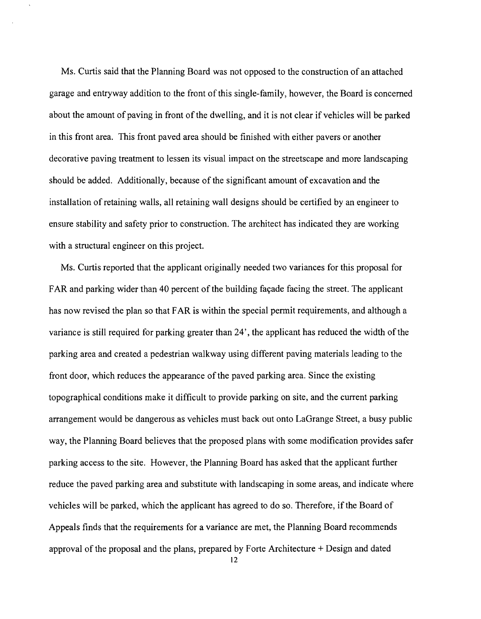Ms. Curtis said that the Planning Board was not opposed to the construction of an attached garage and entryway addition to the front of this single-family, however, the Board is concerned about the amount of paving in front of the dwelling, and it is not clear if vehicles will be parked in this front area. This front paved area should be finished with either pavers or another decorative paving treatment to lessen its visual impact on the streetscape and more landscaping should be added. Additionally, because of the significant amount of excavation and the installation of retaining walls, all retaining wall designs should be certified by an engineer to ensure stability and safety prior to construction. The architect has indicated they are working with a structural engineer on this project.

Ms. Curtis reported that the applicant originally needed two variances for this proposal for FAR and parking wider than 40 percent of the building façade facing the street. The applicant has now revised the plan so that FAR is within the special permit requirements, and although a variance is still required for parking greater than 24', the applicant has reduced the width of the parking area and created a pedestrian walkway using different paving materials leading to the front door, which reduces the appearance ofthe paved parking area. Since the existing topographical conditions make it difficult to provide parking on site, and the current parking arrangement would be dangerous as vehicles must back out onto LaGrange Street, a busy public way, the Planning Board believes that the proposed plans with some modification provides safer parking access to the site. However, the Planning Board has asked that the applicant further reduce the paved parking area and substitute with landscaping in some areas, and indicate where vehicles will be parked, which the applicant has agreed to do so. Therefore, if the Board of Appeals finds that the requirements for a variance are met, the Planning Board recommends approval of the proposal and the plans, prepared by Forte Architecture + Design and dated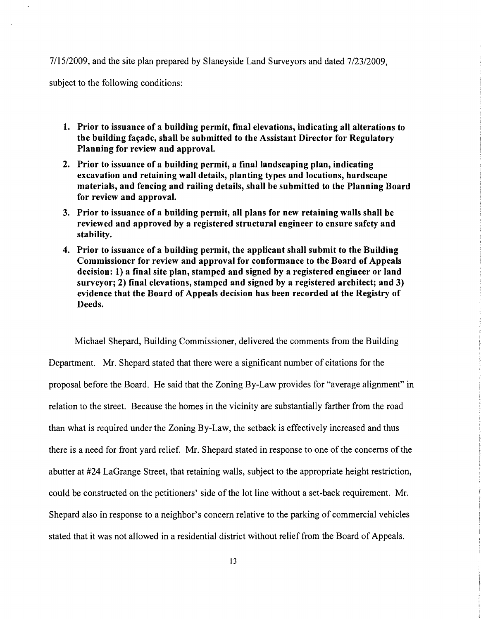7/15/2009, and the site plan prepared by Slaneyside Land Surveyors and dated 7/23/2009,

subject to the following conditions:

- 1. Prior to issuance of a building permit, final elevations, indicating all alterations to the building façade, shall be submitted to the Assistant Director for Regulatory Planning for review and approval.
- 2. Prior to issuance of a building permit, a final landscaping plan, indicating excavation and retaining wall details, planting types and locations, hardscape materials, and fencing and railing details, shall be submitted to the Planning Board for review and approval.
- 3. Prior to issuance of a building permit, all plans for new retaining walls shall be reviewed and approved by a registered structural engineer to ensure safety and stability.
- 4. Prior to issuance of a building permit, the applicant shall submit to the Building Commissioner for review and approval for conformance to the Board of Appeals decision: 1) a final site plan, stamped and signed by a registered engineer or land surveyor; 2) final elevations, stamped and signed by a registered architect; and 3) evidence that the Board of Appeals decision has been recorded at the Registry of Deeds.

Michael Shepard, Building Commissioner, delivered the comments from the Building Department. Mr. Shepard stated that there were a significant number of citations for the proposal before the Board. He said that the Zoning By-Law provides for "average alignment" in relation to the street. Because the homes in the vicinity are substantially farther from the road than what is required under the Zoning By-Law, the setback is effectively increased and thus there is a need for front yard relief. Mr. Shepard stated in response to one of the concerns of the abutter at #24 LaGrange Street, that retaining walls, subject to the appropriate height restriction, could be constructed on the petitioners' side of the lot line without a set-back requirement. Mr. Shepard also in response to a neighbor's concern relative to the parking of commercial vehicles stated that it was not allowed in a residential district without relief from the Board of Appeals.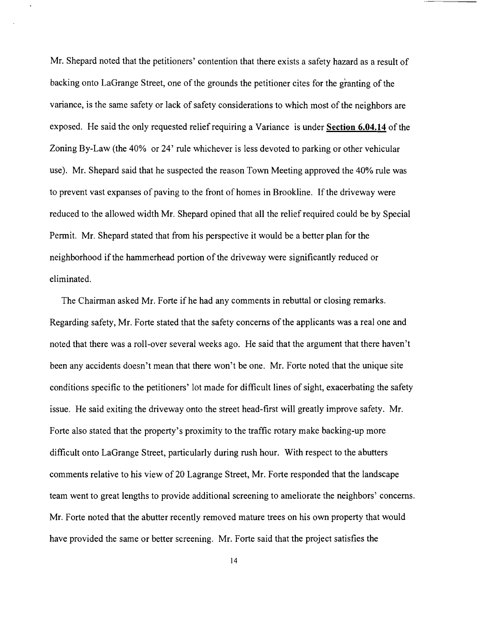Mr. Shepard noted that the petitioners' contention that there exists a safety hazard as a result of backing onto LaGrange Street, one of the grounds the petitioner cites for the granting of the variance, is the same safety or lack of safety considerations to which most of the neighbors are exposed. He said the only requested relief requiring a Variance is under **Section 6.04.14** of the Zoning By-Law (the 40% or 24' rule whichever is less devoted to parking or other vehicular use). Mr. Shepard said that he suspected the reason Town Meeting approved the 40% rule was to prevent vast expanses of paving to the front of homes in Brookline. If the driveway were reduced to the allowed width Mr. Shepard opined that all the relief required could be by Special Permit. Mr. Shepard stated that from his perspective it would be a better plan for the neighborhood if the hammerhead portion of the driveway were significantly reduced or eliminated.

The Chairman asked Mr. Forte if he had any comments in rebuttal or closing remarks. Regarding safety, Mr. Forte stated that the safety concerns of the applicants was a real one and noted that there was a roll-over several weeks ago. He said that the argument that there haven't been any accidents doesn't mean that there won't be one. Mr. Forte noted that the unique site conditions specific to the petitioners' lot made for difficult lines of sight, exacerbating the safety issue. He said exiting the driveway onto the street head-first will greatly improve safety. Mr. Forte also stated that the property's proximity to the traffic rotary make backing-up more difficult onto LaGrange Street, particularly during rush hour. With respect to the abutters comments relative to his view of 20 Lagrange Street, Mr. Forte responded that the landscape team went to great lengths to provide additional screening to ameliorate the neighbors' concerns. Mr. Forte noted that the abutter recently removed mature trees on his own property that would have provided the same or better screening. Mr. Forte said that the project satisfies the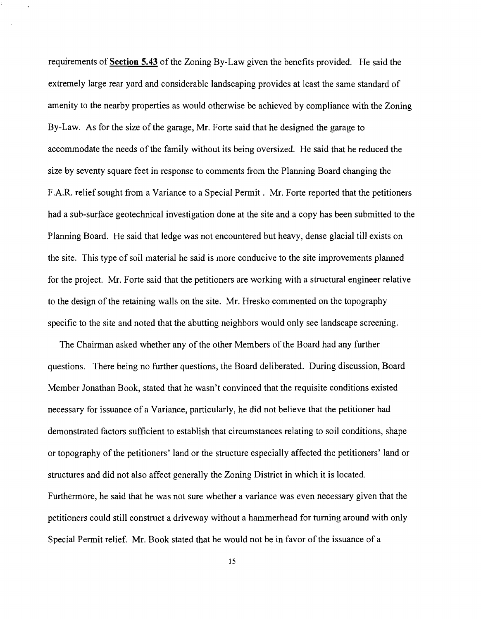requirements of Section 5.43 of the Zoning By-Law given the benefits provided. He said the extremely large rear yard and considerable landscaping provides at least the same standard of amenity to the nearby properties as would otherwise be achieved by compliance with the Zoning By-Law. As for the size ofthe garage, Mr. Forte said that he designed the garage to accommodate the needs of the family without its being oversized. He said that he reduced the size by seventy square feet in response to comments from the Planning Board changing the F.A.R. relief sought from a Variance to a Special Permit. Mr. Forte reported that the petitioners had a sub-surface geotechnical investigation done at the site and a copy has been submitted to the Planning Board. He said that ledge was not encountered but heavy, dense glacial till exists on the site. This type of soil material he said is more conducive to the site improvements planned for the project. Mr. Forte said that the petitioners are working with a structural engineer relative to the design of the retaining walls on the site. Mr. Hresko commented on the topography specific to the site and noted that the abutting neighbors would only see landscape screening.

The Chairman asked whether any of the other Members of the Board had any further questions. There being no further questions, the Board deliberated. During discussion, Board Member Jonathan Book, stated that he wasn't convinced that the requisite conditions existed necessary for issuance of a Variance, particularly, he did not believe that the petitioner had demonstrated factors sufficient to establish that circumstances relating to soil conditions, shape or topography ofthe petitioners' land or the structure especially affected the petitioners' land or structures and did not also affect generally the Zoning District in which it is located. Furthermore, he said that he was not sure whether a variance was even necessary given that the petitioners could still construct a driveway without a hammerhead for turning around with only Special Permit relief. Mr. Book stated that he would not be in favor of the issuance of a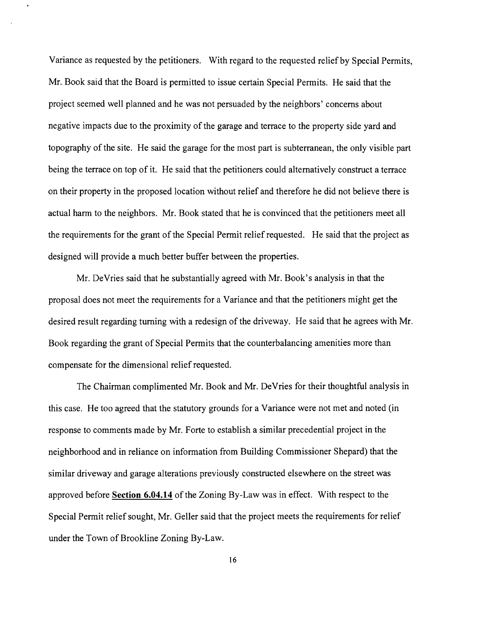Variance as requested by the petitioners. With regard to the requested relief by Special Permits, Mr. Book said that the Board is permitted to issue certain Special Permits. He said that the project seemed well planned and he was not persuaded by the neighbors' concerns about negative impacts due to the proximity of the garage and terrace to the property side yard and topography of the site. He said the garage for the most part is subterranean, the only visible part being the terrace on top of it. He said that the petitioners could alternatively construct a terrace on their property in the proposed location without relief and therefore he did not believe there is actual harm to the neighbors. Mr. Book stated that he is convinced that the petitioners meet all the requirements for the grant of the Special Permit relief requested. He said that the project as designed will provide a much better buffer between the properties.

Mr. DeVries said that he substantially agreed with Mr. Book's analysis in that the proposal does not meet the requirements for a Variance and that the petitioners might get the desired result regarding turning with a redesign of the driveway. He said that he agrees with Mr. Book regarding the grant of Special Permits that the counterbalancing amenities more than compensate for the dimensional relief requested.

The Chairman complimented Mr. Book and Mr. DeVries for their thoughtful analysis in this case. He too agreed that the statutory grounds for a Variance were not met and noted (in response to comments made by Mr. Forte to establish a similar precedential project in the neighborhood and in reliance on information from Building Commissioner Shepard) that the similar driveway and garage alterations previously constructed elsewhere on the street was approved before **Section 6.04.14** of the Zoning By-Law was in effect. With respect to the Special Permit relief sought, Mr. Geller said that the project meets the requirements for relief under the Town of Brookline Zoning By-Law.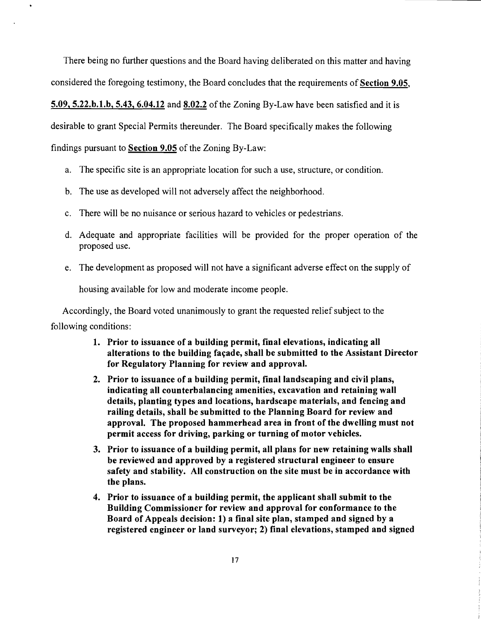There being no further questions and the Board having deliberated on this matter and having considered the foregoing testimony, the Board concludes that the requirements of Section 9.05, 5.09, 5.22.b.l.b, 5.43, 6.04.12 and 8.02.2 of the Zoning By-Law have been satisfied and it is desirable to grant Special Permits thereunder. The Board specifically makes the following findings pursuant to Section 9.05 of the Zoning By-Law:

- a. The specific site is an appropriate location for such a use, structure, or condition.
- b. The use as developed will not adversely affect the neighborhood.
- c. There will be no nuisance or serious hazard to vehicles or pedestrians.
- d. Adequate and appropriate facilities will be provided for the proper operation of the proposed use.
- e. The development as proposed will not have a significant adverse effect on the supply of

housing available for low and moderate income people.

Accordingly, the Board voted unanimously to grant the requested relief subject to the following conditions:

- 1. Prior to issuance of a building permit, final elevations, indicating all alterations to the building façade, shall be submitted to the Assistant Director for Regulatory Planning for review and approval.
- 2. Prior to issuance of a building permit, final landscaping and civil plans, indicating all counterbalancing amenities, excavation and retaining wall details, planting types and locations, hardscape materials, and fencing and railing details, shall be submitted to the Planning Board for review and approval. The proposed hammerhead area in front of the dwelling must not permit access for driving, parking or turning of motor vehicles.
- 3. Prior to issuance of a building permit, all plans for new retaining walls shall be reviewed and approved by a registered structural engineer to ensure safety and stability. All construction on the site must be in accordance with the plans.
- 4. Prior to issuance of a building permit, the applicant shall submit to the Building Commissioner for review and approval for conformance to the Board of Appeals decision: 1) a final site plan, stamped and signed by a registered engineer or land surveyor; 2) final elevations, stamped and signed